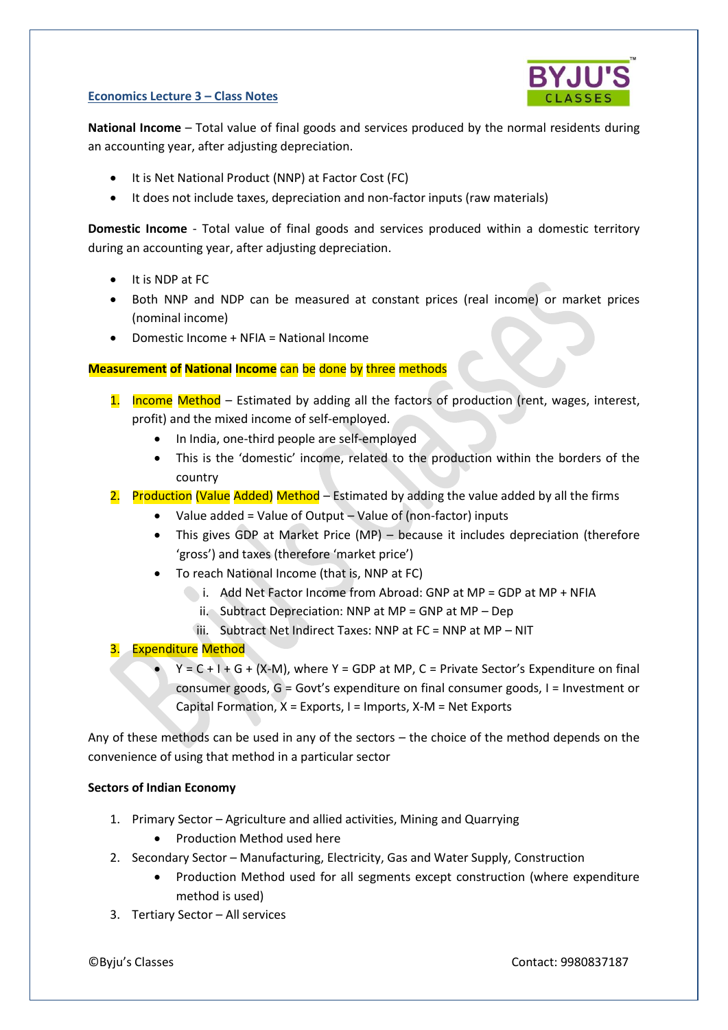#### **Economics Lecture 3 – Class Notes**



**National Income** – Total value of final goods and services produced by the normal residents during an accounting year, after adjusting depreciation.

- It is Net National Product (NNP) at Factor Cost (FC)
- It does not include taxes, depreciation and non-factor inputs (raw materials)

**Domestic Income** - Total value of final goods and services produced within a domestic territory during an accounting year, after adjusting depreciation.

- It is NDP at FC
- Both NNP and NDP can be measured at constant prices (real income) or market prices (nominal income)
- Domestic Income + NFIA = National Income

## **Measurement of National Income** can be done by three methods

- 1. Income Method Estimated by adding all the factors of production (rent, wages, interest, profit) and the mixed income of self-employed.
	- In India, one-third people are self-employed
	- This is the 'domestic' income, related to the production within the borders of the country
- 2. Production (Value Added) Method Estimated by adding the value added by all the firms
	- Value added = Value of Output Value of (non-factor) inputs
	- This gives GDP at Market Price (MP) because it includes depreciation (therefore 'gross') and taxes (therefore 'market price')
	- To reach National Income (that is, NNP at FC)
		- i. Add Net Factor Income from Abroad: GNP at MP = GDP at MP + NFIA
			- ii. Subtract Depreciation: NNP at MP = GNP at MP Dep
			- iii. Subtract Net Indirect Taxes: NNP at FC = NNP at MP NIT

# **Expenditure Method**

 $Y = C + I + G + (X-M)$ , where  $Y = GDP$  at MP,  $C = Private Sector's Expenditure on final$ consumer goods, G = Govt's expenditure on final consumer goods, I = Investment or Capital Formation,  $X =$  Exports,  $I =$  Imports,  $X - M =$  Net Exports

Any of these methods can be used in any of the sectors – the choice of the method depends on the convenience of using that method in a particular sector

### **Sectors of Indian Economy**

- 1. Primary Sector Agriculture and allied activities, Mining and Quarrying
	- Production Method used here
- 2. Secondary Sector Manufacturing, Electricity, Gas and Water Supply, Construction
	- Production Method used for all segments except construction (where expenditure method is used)
- 3. Tertiary Sector All services

©Byju's Classes Contact: 9980837187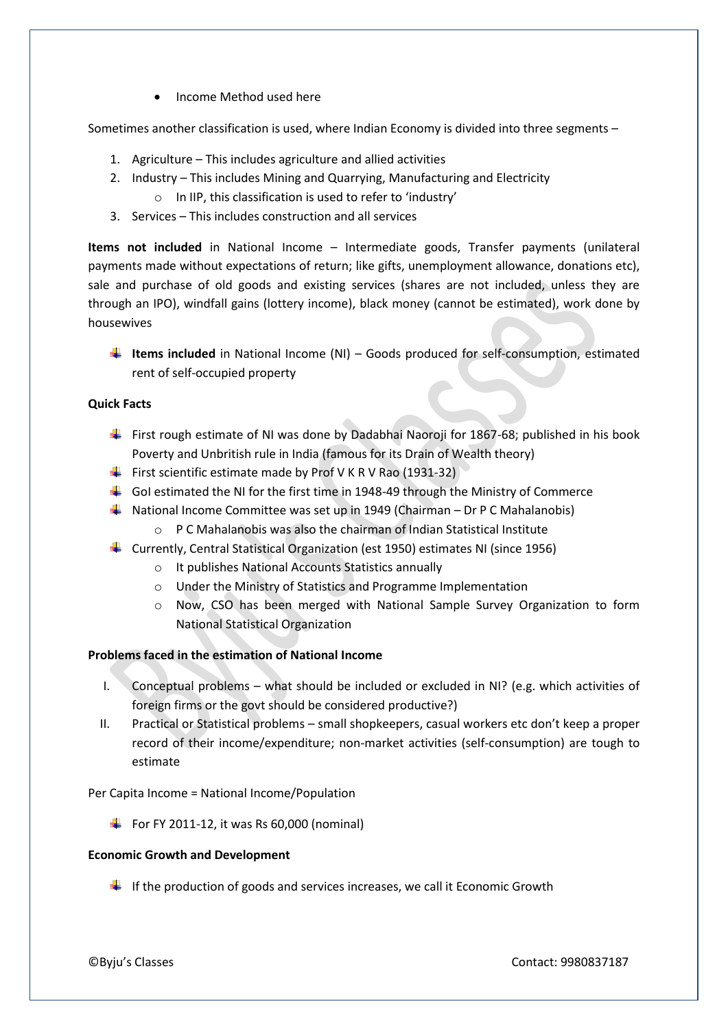Income Method used here

Sometimes another classification is used, where Indian Economy is divided into three segments –

- 1. Agriculture This includes agriculture and allied activities
- 2. Industry This includes Mining and Quarrying, Manufacturing and Electricity
	- o In IIP, this classification is used to refer to 'industry'
- 3. Services This includes construction and all services

**Items not included** in National Income – Intermediate goods, Transfer payments (unilateral payments made without expectations of return; like gifts, unemployment allowance, donations etc), sale and purchase of old goods and existing services (shares are not included, unless they are through an IPO), windfall gains (lottery income), black money (cannot be estimated), work done by housewives

**Items included** in National Income (NI) – Goods produced for self-consumption, estimated rent of self-occupied property

### **Quick Facts**

- First rough estimate of NI was done by Dadabhai Naoroji for 1867-68; published in his book Poverty and Unbritish rule in India (famous for its Drain of Wealth theory)
- First scientific estimate made by Prof V K R V Rao (1931-32)
- Gol estimated the NI for the first time in 1948-49 through the Ministry of Commerce
- **National Income Committee was set up in 1949 (Chairman Dr P C Mahalanobis)** 
	- o P C Mahalanobis was also the chairman of Indian Statistical Institute
- Currently, Central Statistical Organization (est 1950) estimates NI (since 1956)
	- o It publishes National Accounts Statistics annually
	- o Under the Ministry of Statistics and Programme Implementation
	- o Now, CSO has been merged with National Sample Survey Organization to form National Statistical Organization

### **Problems faced in the estimation of National Income**

- I. Conceptual problems what should be included or excluded in NI? (e.g. which activities of foreign firms or the govt should be considered productive?)
- II. Practical or Statistical problems small shopkeepers, casual workers etc don't keep a proper record of their income/expenditure; non-market activities (self-consumption) are tough to estimate

Per Capita Income = National Income/Population

 $\big\downarrow$  For FY 2011-12, it was Rs 60,000 (nominal)

### **Economic Growth and Development**

 $\downarrow$  If the production of goods and services increases, we call it Economic Growth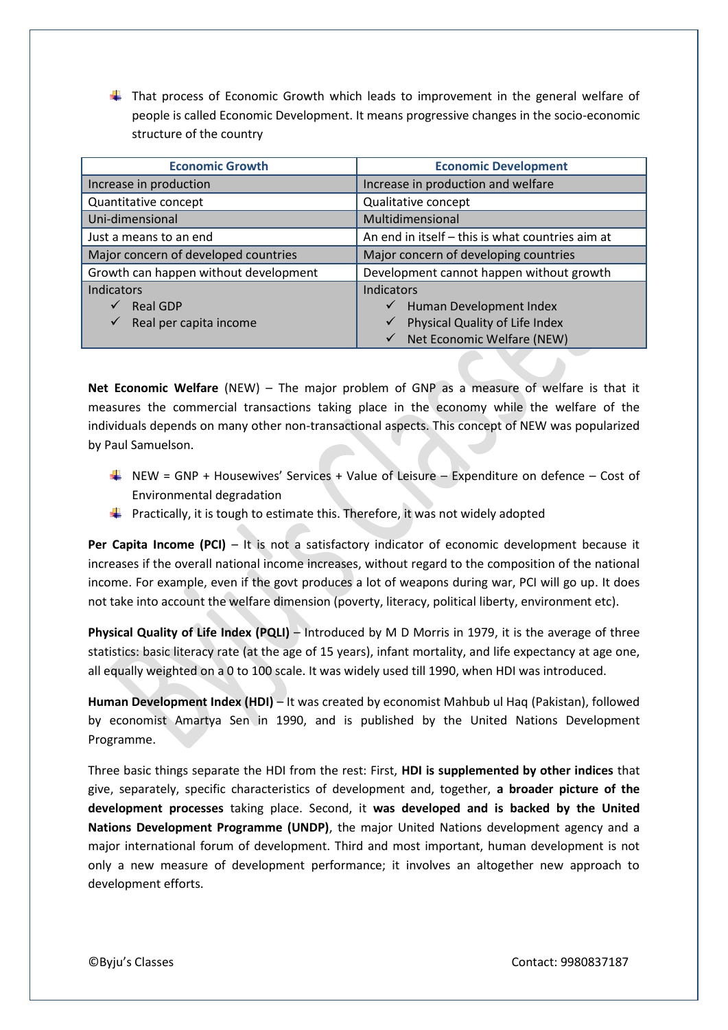$\ddot{\phantom{1}}$  That process of Economic Growth which leads to improvement in the general welfare of people is called Economic Development. It means progressive changes in the socio-economic structure of the country

| <b>Economic Growth</b>                 | <b>Economic Development</b>                      |
|----------------------------------------|--------------------------------------------------|
| Increase in production                 | Increase in production and welfare               |
| Quantitative concept                   | Qualitative concept                              |
| Uni-dimensional                        | Multidimensional                                 |
| Just a means to an end                 | An end in itself - this is what countries aim at |
| Major concern of developed countries   | Major concern of developing countries            |
| Growth can happen without development  | Development cannot happen without growth         |
| Indicators                             | Indicators                                       |
| <b>Real GDP</b>                        | Human Development Index<br>$\checkmark$          |
| $\checkmark$<br>Real per capita income | Physical Quality of Life Index<br>$\checkmark$   |
|                                        | Net Economic Welfare (NEW)                       |

**Net Economic Welfare** (NEW) – The major problem of GNP as a measure of welfare is that it measures the commercial transactions taking place in the economy while the welfare of the individuals depends on many other non-transactional aspects. This concept of NEW was popularized by Paul Samuelson.

- NEW = GNP + Housewives' Services + Value of Leisure Expenditure on defence Cost of Environmental degradation
- $\downarrow$  Practically, it is tough to estimate this. Therefore, it was not widely adopted

**Per Capita Income (PCI)** – It is not a satisfactory indicator of economic development because it increases if the overall national income increases, without regard to the composition of the national income. For example, even if the govt produces a lot of weapons during war, PCI will go up. It does not take into account the welfare dimension (poverty, literacy, political liberty, environment etc).

**Physical Quality of Life Index (PQLI)** – Introduced by M D Morris in 1979, it is the average of three statistics: basic literacy rate (at the age of 15 years), infant mortality, and life expectancy at age one, all equally weighted on a 0 to 100 scale. It was widely used till 1990, when HDI was introduced.

**Human Development Index (HDI)** – It was created by economist Mahbub ul Haq (Pakistan), followed by economist Amartya Sen in 1990, and is published by the United Nations Development Programme.

Three basic things separate the HDI from the rest: First, **HDI is supplemented by other indices** that give, separately, specific characteristics of development and, together, **a broader picture of the development processes** taking place. Second, it **was developed and is backed by the United Nations Development Programme (UNDP)**, the major United Nations development agency and a major international forum of development. Third and most important, human development is not only a new measure of development performance; it involves an altogether new approach to development efforts.

©Byju's Classes Contact: 9980837187